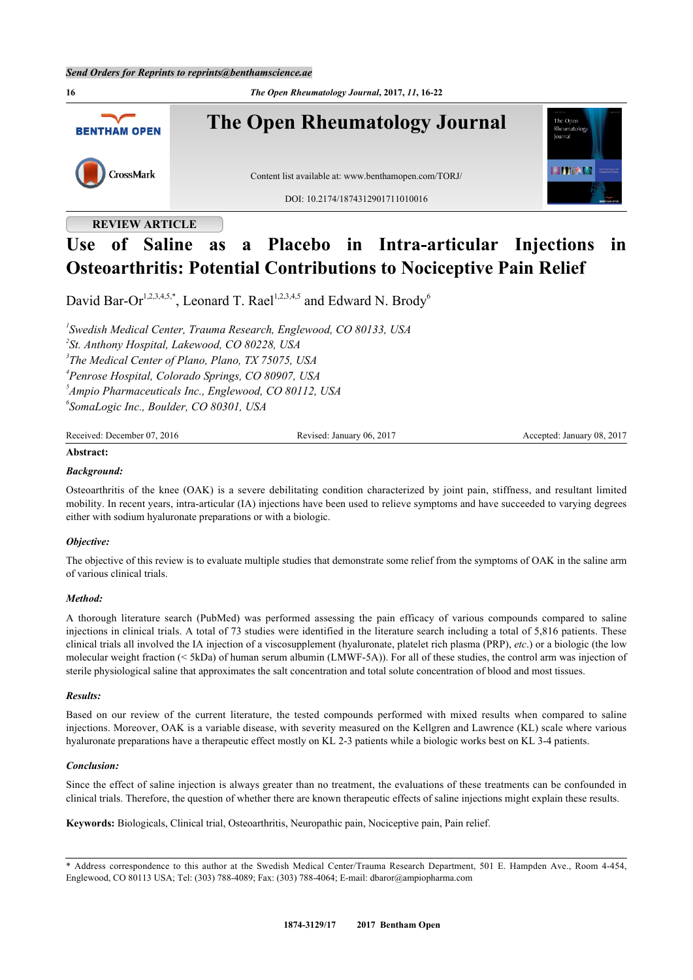

# **REVIEW ARTICLE**

# **Use of Saline as a Placebo in Intra-articular Injections in Osteoarthritis: Potential Contributions to Nociceptive Pain Relief**

David Bar-Or<sup>[1](#page-0-0),[2](#page-0-1),[3](#page-0-2),[4](#page-0-3),[5](#page-0-4),[\\*](#page-0-5)</sup>, Leonard T. Rael<sup>[1,](#page-0-0)[2,](#page-0-1)[3,](#page-0-2)[4,](#page-0-3)5</sup> and Edward N. Brody<sup>[6](#page-0-6)</sup>

<span id="page-0-3"></span><span id="page-0-2"></span><span id="page-0-1"></span><span id="page-0-0"></span> *Swedish Medical Center, Trauma Research, Englewood, CO 80133, USA St. Anthony Hospital, Lakewood, CO 80228, USA The Medical Center of Plano, Plano, TX 75075, USA Penrose Hospital, Colorado Springs, CO 80907, USA Ampio Pharmaceuticals Inc., Englewood, CO 80112, USA SomaLogic Inc., Boulder, CO 80301, USA*

<span id="page-0-6"></span><span id="page-0-4"></span>

| $\mathbf{D}$ = $\mathbf{L}$<br>201∈<br><b>Rece</b><br>'emne<br> | 201<br>(16)<br>.anuar | 08<br>20<br>onte.<br>aar<br>.an· |
|-----------------------------------------------------------------|-----------------------|----------------------------------|
|                                                                 |                       |                                  |

# **Abstract:**

### *Background:*

Osteoarthritis of the knee (OAK) is a severe debilitating condition characterized by joint pain, stiffness, and resultant limited mobility. In recent years, intra-articular (IA) injections have been used to relieve symptoms and have succeeded to varying degrees either with sodium hyaluronate preparations or with a biologic.

#### *Objective:*

The objective of this review is to evaluate multiple studies that demonstrate some relief from the symptoms of OAK in the saline arm of various clinical trials.

#### *Method:*

A thorough literature search (PubMed) was performed assessing the pain efficacy of various compounds compared to saline injections in clinical trials. A total of 73 studies were identified in the literature search including a total of 5,816 patients. These clinical trials all involved the IA injection of a viscosupplement (hyaluronate, platelet rich plasma (PRP), *etc*.) or a biologic (the low molecular weight fraction (< 5kDa) of human serum albumin (LMWF-5A)). For all of these studies, the control arm was injection of sterile physiological saline that approximates the salt concentration and total solute concentration of blood and most tissues.

#### *Results:*

Based on our review of the current literature, the tested compounds performed with mixed results when compared to saline injections. Moreover, OAK is a variable disease, with severity measured on the Kellgren and Lawrence (KL) scale where various hyaluronate preparations have a therapeutic effect mostly on KL 2-3 patients while a biologic works best on KL 3-4 patients.

#### *Conclusion:*

Since the effect of saline injection is always greater than no treatment, the evaluations of these treatments can be confounded in clinical trials. Therefore, the question of whether there are known therapeutic effects of saline injections might explain these results.

**Keywords:** Biologicals, Clinical trial, Osteoarthritis, Neuropathic pain, Nociceptive pain, Pain relief.

<span id="page-0-5"></span><sup>\*</sup> Address correspondence to this author at the Swedish Medical Center/Trauma Research Department, 501 E. Hampden Ave., Room 4-454, Englewood, CO 80113 USA; Tel: (303) 788-4089; Fax: (303) 788-4064; E-mail: [dbaror@ampiopharma.com](mailto:dbaror@ampiopharma.com)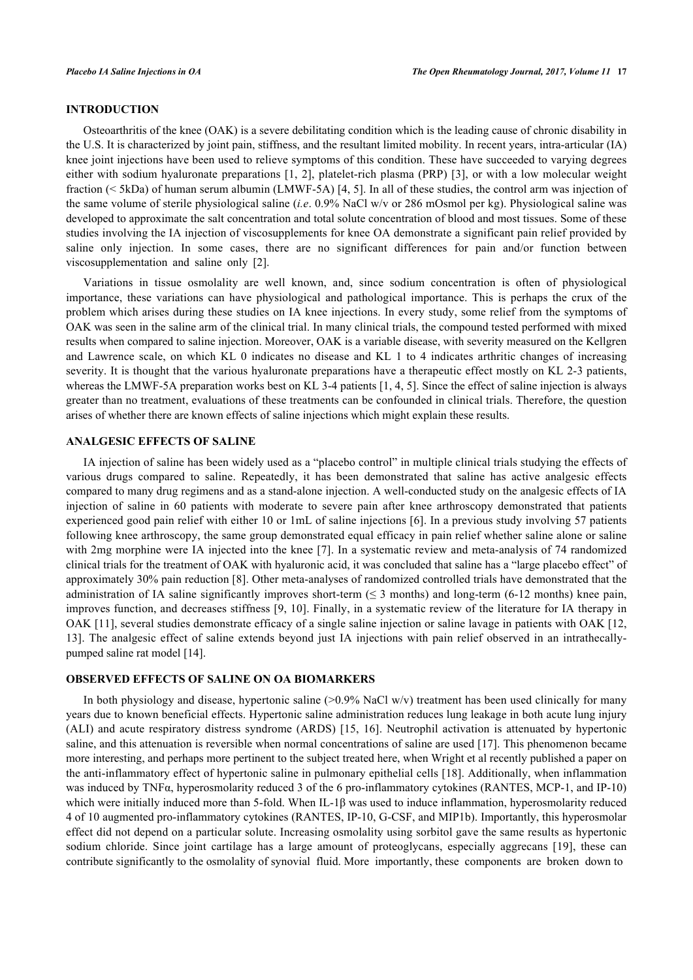# **INTRODUCTION**

Osteoarthritis of the knee (OAK) is a severe debilitating condition which is the leading cause of chronic disability in the U.S. It is characterized by joint pain, stiffness, and the resultant limited mobility. In recent years, intra-articular (IA) knee joint injections have been used to relieve symptoms of this condition. These have succeeded to varying degrees either with sodium hyaluronate preparations [\[1](#page-4-0), [2](#page-4-1)], platelet-rich plasma (PRP) [\[3](#page-4-2)], or with a low molecular weight fraction (< 5kDa) of human serum albumin (LMWF-5A) [\[4](#page-5-0), [5\]](#page-5-1). In all of these studies, the control arm was injection of the same volume of sterile physiological saline (*i.e*. 0.9% NaCl w/v or 286 mOsmol per kg). Physiological saline was developed to approximate the salt concentration and total solute concentration of blood and most tissues. Some of these studies involving the IA injection of viscosupplements for knee OA demonstrate a significant pain relief provided by saline only injection. In some cases, there are no significant differences for pain and/or function between viscosupplementation and saline only[[2\]](#page-4-1).

Variations in tissue osmolality are well known, and, since sodium concentration is often of physiological importance, these variations can have physiological and pathological importance. This is perhaps the crux of the problem which arises during these studies on IA knee injections. In every study, some relief from the symptoms of OAK was seen in the saline arm of the clinical trial. In many clinical trials, the compound tested performed with mixed results when compared to saline injection. Moreover, OAK is a variable disease, with severity measured on the Kellgren and Lawrence scale, on which KL 0 indicates no disease and KL 1 to 4 indicates arthritic changes of increasing severity. It is thought that the various hyaluronate preparations have a therapeutic effect mostly on KL 2-3 patients, whereas the LMWF-5A preparation works best on KL 3-4 patients [\[1](#page-4-0), [4](#page-5-0), [5](#page-5-1)]. Since the effect of saline injection is always greater than no treatment, evaluations of these treatments can be confounded in clinical trials. Therefore, the question arises of whether there are known effects of saline injections which might explain these results.

# **ANALGESIC EFFECTS OF SALINE**

IA injection of saline has been widely used as a "placebo control" in multiple clinical trials studying the effects of various drugs compared to saline. Repeatedly, it has been demonstrated that saline has active analgesic effects compared to many drug regimens and as a stand-alone injection. A well-conducted study on the analgesic effects of IA injection of saline in 60 patients with moderate to severe pain after knee arthroscopy demonstrated that patients experienced good pain relief with either 10 or 1mL of saline injections [[6\]](#page-5-2). In a previous study involving 57 patients following knee arthroscopy, the same group demonstrated equal efficacy in pain relief whether saline alone or saline with 2mg morphine were IA injected into the knee [[7](#page-5-3)]. In a systematic review and meta-analysis of 74 randomized clinical trials for the treatment of OAK with hyaluronic acid, it was concluded that saline has a "large placebo effect" of approximately 30% pain reduction [[8\]](#page-5-4). Other meta-analyses of randomized controlled trials have demonstrated that the administration of IA saline significantly improves short-term  $(5, 3, 3)$  and long-term  $(6-12, 6)$  months) knee pain. improves function, and decreases stiffness [[9,](#page-5-5) [10\]](#page-5-6). Finally, in a systematic review of the literature for IA therapy in OAK [[11\]](#page-5-7), several studies demonstrate efficacy of a single saline injection or saline lavage in patients with OAK [[12](#page-5-8), [13\]](#page-5-9). The analgesic effect of saline extends beyond just IA injections with pain relief observed in an intrathecallypumped saline rat model [\[14](#page-5-10)].

## **OBSERVED EFFECTS OF SALINE ON OA BIOMARKERS**

In both physiology and disease, hypertonic saline  $(>0.9\%$  NaCl w/v) treatment has been used clinically for many years due to known beneficial effects. Hypertonic saline administration reduces lung leakage in both acute lung injury (ALI) and acute respiratory distress syndrome (ARDS) [[15](#page-5-11), [16\]](#page-5-12). Neutrophil activation is attenuated by hypertonic saline, and this attenuation is reversible when normal concentrations of saline are used [[17\]](#page-5-13). This phenomenon became more interesting, and perhaps more pertinent to the subject treated here, when Wright et al recently published a paper on the anti-inflammatory effect of hypertonic saline in pulmonary epithelial cells [[18](#page-5-14)]. Additionally, when inflammation was induced by TNFα, hyperosmolarity reduced 3 of the 6 pro-inflammatory cytokines (RANTES, MCP-1, and IP-10) which were initially induced more than 5-fold. When IL-1β was used to induce inflammation, hyperosmolarity reduced 4 of 10 augmented pro-inflammatory cytokines (RANTES, IP-10, G-CSF, and MIP1b). Importantly, this hyperosmolar effect did not depend on a particular solute. Increasing osmolality using sorbitol gave the same results as hypertonic sodiumchloride. Since joint cartilage has a large amount of proteoglycans, especially aggrecans [[19\]](#page-5-15), these can contribute significantly to the osmolality of synovial fluid. More importantly, these components are broken down to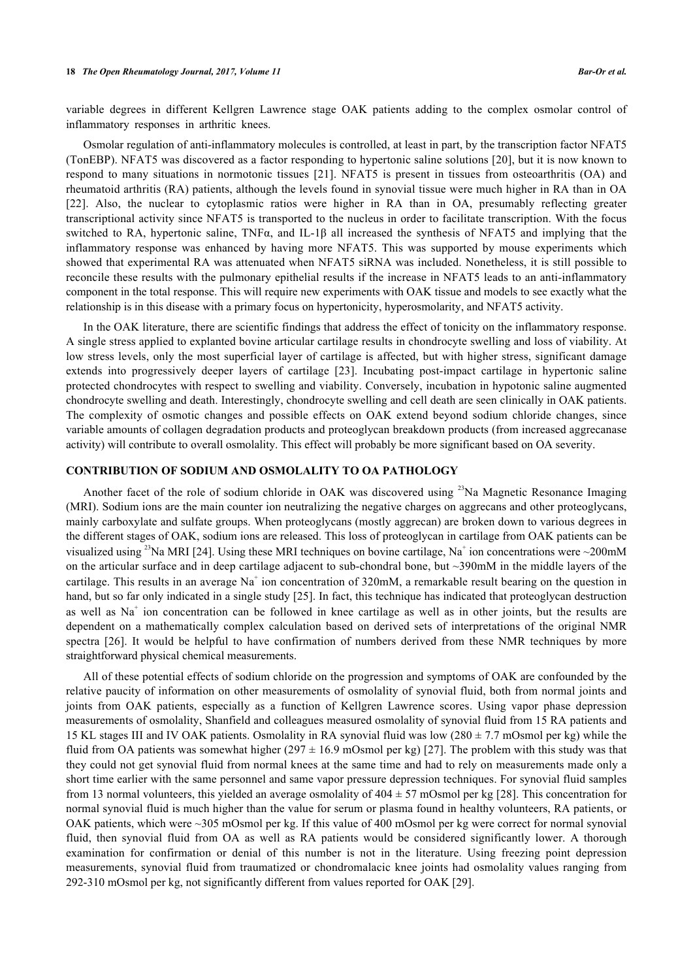variable degrees in different Kellgren Lawrence stage OAK patients adding to the complex osmolar control of inflammatory responses in arthritic knees.

Osmolar regulation of anti-inflammatory molecules is controlled, at least in part, by the transcription factor NFAT5 (TonEBP). NFAT5 was discovered as a factor responding to hypertonic saline solutions [\[20](#page-5-16)], but it is now known to respond to many situations in normotonic tissues[[21](#page-5-17)]. NFAT5 is present in tissues from osteoarthritis (OA) and rheumatoid arthritis (RA) patients, although the levels found in synovial tissue were much higher in RA than in OA [\[22](#page-5-18)]. Also, the nuclear to cytoplasmic ratios were higher in RA than in OA, presumably reflecting greater transcriptional activity since NFAT5 is transported to the nucleus in order to facilitate transcription. With the focus switched to RA, hypertonic saline, TNFα, and IL-1β all increased the synthesis of NFAT5 and implying that the inflammatory response was enhanced by having more NFAT5. This was supported by mouse experiments which showed that experimental RA was attenuated when NFAT5 siRNA was included. Nonetheless, it is still possible to reconcile these results with the pulmonary epithelial results if the increase in NFAT5 leads to an anti-inflammatory component in the total response. This will require new experiments with OAK tissue and models to see exactly what the relationship is in this disease with a primary focus on hypertonicity, hyperosmolarity, and NFAT5 activity.

In the OAK literature, there are scientific findings that address the effect of tonicity on the inflammatory response. A single stress applied to explanted bovine articular cartilage results in chondrocyte swelling and loss of viability. At low stress levels, only the most superficial layer of cartilage is affected, but with higher stress, significant damage extends into progressively deeper layers of cartilage[[23](#page-5-19)]. Incubating post-impact cartilage in hypertonic saline protected chondrocytes with respect to swelling and viability. Conversely, incubation in hypotonic saline augmented chondrocyte swelling and death. Interestingly, chondrocyte swelling and cell death are seen clinically in OAK patients. The complexity of osmotic changes and possible effects on OAK extend beyond sodium chloride changes, since variable amounts of collagen degradation products and proteoglycan breakdown products (from increased aggrecanase activity) will contribute to overall osmolality. This effect will probably be more significant based on OA severity.

#### **CONTRIBUTION OF SODIUM AND OSMOLALITY TO OA PATHOLOGY**

Another facet of the role of sodium chloride in OAK was discovered using <sup>23</sup>Na Magnetic Resonance Imaging (MRI). Sodium ions are the main counter ion neutralizing the negative charges on aggrecans and other proteoglycans, mainly carboxylate and sulfate groups. When proteoglycans (mostly aggrecan) are broken down to various degrees in the different stages of OAK, sodium ions are released. This loss of proteoglycan in cartilage from OAK patients can be visualized using <sup>23</sup>Na MRI [[24\]](#page-6-0). Using these MRI techniques on bovine cartilage, Na<sup>+</sup> ion concentrations were ~200mM on the articular surface and in deep cartilage adjacent to sub-chondral bone, but ~390mM in the middle layers of the cartilage. This results in an average Na<sup>+</sup> ion concentration of 320mM, a remarkable result bearing on the question in hand, but so far only indicated in a single study [\[25](#page-6-1)]. In fact, this technique has indicated that proteoglycan destruction as well as  $Na<sup>+</sup>$  ion concentration can be followed in knee cartilage as well as in other joints, but the results are dependent on a mathematically complex calculation based on derived sets of interpretations of the original NMR spectra [\[26](#page-6-2)]. It would be helpful to have confirmation of numbers derived from these NMR techniques by more straightforward physical chemical measurements.

All of these potential effects of sodium chloride on the progression and symptoms of OAK are confounded by the relative paucity of information on other measurements of osmolality of synovial fluid, both from normal joints and joints from OAK patients, especially as a function of Kellgren Lawrence scores. Using vapor phase depression measurements of osmolality, Shanfield and colleagues measured osmolality of synovial fluid from 15 RA patients and 15 KL stages III and IV OAK patients. Osmolality in RA synovial fluid was low  $(280 \pm 7.7 \text{ mOsmol per kg})$  while the fluid from OA patients was somewhat higher ( $297 \pm 16.9$  mOsmol per kg) [[27\]](#page-6-3). The problem with this study was that they could not get synovial fluid from normal knees at the same time and had to rely on measurements made only a short time earlier with the same personnel and same vapor pressure depression techniques. For synovial fluid samples from 13 normal volunteers, this yielded an average osmolality of  $404 \pm 57$  mOsmol per kg [[28](#page-6-4)]. This concentration for normal synovial fluid is much higher than the value for serum or plasma found in healthy volunteers, RA patients, or OAK patients, which were ~305 mOsmol per kg. If this value of 400 mOsmol per kg were correct for normal synovial fluid, then synovial fluid from OA as well as RA patients would be considered significantly lower. A thorough examination for confirmation or denial of this number is not in the literature. Using freezing point depression measurements, synovial fluid from traumatized or chondromalacic knee joints had osmolality values ranging from 292-310 mOsmol per kg, not significantly different from values reported for OAK [[29\]](#page-6-5).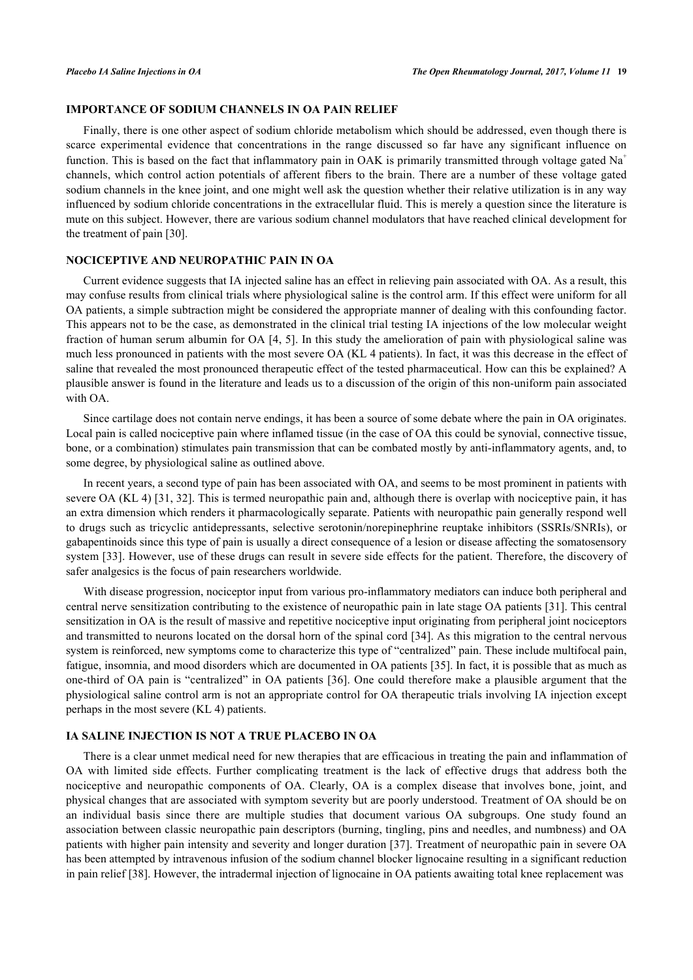# **IMPORTANCE OF SODIUM CHANNELS IN OA PAIN RELIEF**

Finally, there is one other aspect of sodium chloride metabolism which should be addressed, even though there is scarce experimental evidence that concentrations in the range discussed so far have any significant influence on function. This is based on the fact that inflammatory pain in OAK is primarily transmitted through voltage gated Na<sup>+</sup> channels, which control action potentials of afferent fibers to the brain. There are a number of these voltage gated sodium channels in the knee joint, and one might well ask the question whether their relative utilization is in any way influenced by sodium chloride concentrations in the extracellular fluid. This is merely a question since the literature is mute on this subject. However, there are various sodium channel modulators that have reached clinical development for the treatment of pain [[30\]](#page-6-6).

# **NOCICEPTIVE AND NEUROPATHIC PAIN IN OA**

Current evidence suggests that IA injected saline has an effect in relieving pain associated with OA. As a result, this may confuse results from clinical trials where physiological saline is the control arm. If this effect were uniform for all OA patients, a simple subtraction might be considered the appropriate manner of dealing with this confounding factor. This appears not to be the case, as demonstrated in the clinical trial testing IA injections of the low molecular weight fraction of human serum albumin for OA [\[4,](#page-5-0) [5](#page-5-1)]. In this study the amelioration of pain with physiological saline was much less pronounced in patients with the most severe OA (KL 4 patients). In fact, it was this decrease in the effect of saline that revealed the most pronounced therapeutic effect of the tested pharmaceutical. How can this be explained? A plausible answer is found in the literature and leads us to a discussion of the origin of this non-uniform pain associated with OA.

Since cartilage does not contain nerve endings, it has been a source of some debate where the pain in OA originates. Local pain is called nociceptive pain where inflamed tissue (in the case of OA this could be synovial, connective tissue, bone, or a combination) stimulates pain transmission that can be combated mostly by anti-inflammatory agents, and, to some degree, by physiological saline as outlined above.

In recent years, a second type of pain has been associated with OA, and seems to be most prominent in patients with severe OA (KL 4) [\[31](#page-6-7), [32\]](#page-6-8). This is termed neuropathic pain and, although there is overlap with nociceptive pain, it has an extra dimension which renders it pharmacologically separate. Patients with neuropathic pain generally respond well to drugs such as tricyclic antidepressants, selective serotonin/norepinephrine reuptake inhibitors (SSRIs/SNRIs), or gabapentinoids since this type of pain is usually a direct consequence of a lesion or disease affecting the somatosensory system [\[33\]](#page-6-9). However, use of these drugs can result in severe side effects for the patient. Therefore, the discovery of safer analgesics is the focus of pain researchers worldwide.

With disease progression, nociceptor input from various pro-inflammatory mediators can induce both peripheral and central nerve sensitization contributing to the existence of neuropathic pain in late stage OA patients [[31\]](#page-6-7). This central sensitization in OA is the result of massive and repetitive nociceptive input originating from peripheral joint nociceptors and transmitted to neurons located on the dorsal horn of the spinal cord [[34\]](#page-6-10). As this migration to the central nervous system is reinforced, new symptoms come to characterize this type of "centralized" pain. These include multifocal pain, fatigue, insomnia, and mood disorders which are documented in OA patients [\[35](#page-6-11)]. In fact, it is possible that as much as one-third of OA pain is "centralized" in OA patients [[36](#page-6-12)]. One could therefore make a plausible argument that the physiological saline control arm is not an appropriate control for OA therapeutic trials involving IA injection except perhaps in the most severe (KL 4) patients.

# **IA SALINE INJECTION IS NOT A TRUE PLACEBO IN OA**

There is a clear unmet medical need for new therapies that are efficacious in treating the pain and inflammation of OA with limited side effects. Further complicating treatment is the lack of effective drugs that address both the nociceptive and neuropathic components of OA. Clearly, OA is a complex disease that involves bone, joint, and physical changes that are associated with symptom severity but are poorly understood. Treatment of OA should be on an individual basis since there are multiple studies that document various OA subgroups. One study found an association between classic neuropathic pain descriptors (burning, tingling, pins and needles, and numbness) and OA patients with higher pain intensity and severity and longer duration [\[37\]](#page-6-13). Treatment of neuropathic pain in severe OA has been attempted by intravenous infusion of the sodium channel blocker lignocaine resulting in a significant reduction in pain relief [[38\]](#page-6-14). However, the intradermal injection of lignocaine in OA patients awaiting total knee replacement was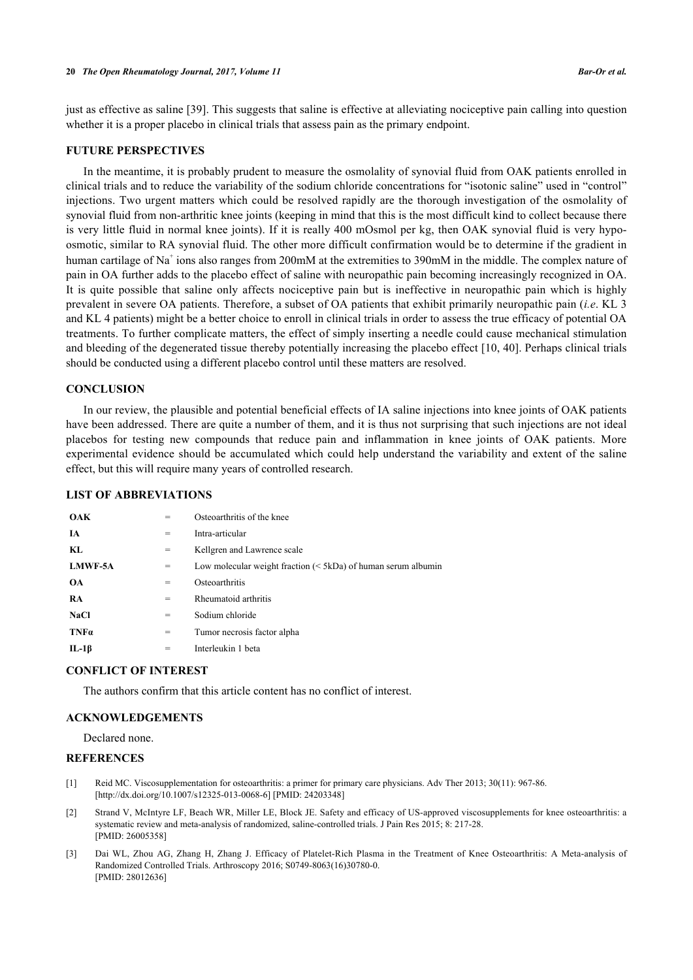#### **20** *The Open Rheumatology Journal, 2017, Volume 11 Bar-Or et al.*

just as effective as saline [[39\]](#page-6-15). This suggests that saline is effective at alleviating nociceptive pain calling into question whether it is a proper placebo in clinical trials that assess pain as the primary endpoint.

# **FUTURE PERSPECTIVES**

In the meantime, it is probably prudent to measure the osmolality of synovial fluid from OAK patients enrolled in clinical trials and to reduce the variability of the sodium chloride concentrations for "isotonic saline" used in "control" injections. Two urgent matters which could be resolved rapidly are the thorough investigation of the osmolality of synovial fluid from non-arthritic knee joints (keeping in mind that this is the most difficult kind to collect because there is very little fluid in normal knee joints). If it is really 400 mOsmol per kg, then OAK synovial fluid is very hypoosmotic, similar to RA synovial fluid. The other more difficult confirmation would be to determine if the gradient in human cartilage of Na<sup>+</sup> ions also ranges from 200mM at the extremities to 390mM in the middle. The complex nature of pain in OA further adds to the placebo effect of saline with neuropathic pain becoming increasingly recognized in OA. It is quite possible that saline only affects nociceptive pain but is ineffective in neuropathic pain which is highly prevalent in severe OA patients. Therefore, a subset of OA patients that exhibit primarily neuropathic pain (*i.e*. KL 3 and KL 4 patients) might be a better choice to enroll in clinical trials in order to assess the true efficacy of potential OA treatments. To further complicate matters, the effect of simply inserting a needle could cause mechanical stimulation and bleeding of the degenerated tissue thereby potentially increasing the placebo effect [[10](#page-5-6), [40](#page-6-16)]. Perhaps clinical trials should be conducted using a different placebo control until these matters are resolved.

### **CONCLUSION**

In our review, the plausible and potential beneficial effects of IA saline injections into knee joints of OAK patients have been addressed. There are quite a number of them, and it is thus not surprising that such injections are not ideal placebos for testing new compounds that reduce pain and inflammation in knee joints of OAK patients. More experimental evidence should be accumulated which could help understand the variability and extent of the saline effect, but this will require many years of controlled research.

#### **LIST OF ABBREVIATIONS**

| <b>OAK</b>     |     | Osteoarthritis of the knee                                    |
|----------------|-----|---------------------------------------------------------------|
| <b>IA</b>      | $=$ | Intra-articular                                               |
| KL.            | =   | Kellgren and Lawrence scale                                   |
| <b>LMWF-5A</b> | $=$ | Low molecular weight fraction $(5kDa)$ of human serum albumin |
| <b>OA</b>      | =   | Osteoarthritis                                                |
| <b>RA</b>      | =   | Rheumatoid arthritis                                          |
| <b>NaCl</b>    | =   | Sodium chloride                                               |
| $TNF\alpha$    | $=$ | Tumor necrosis factor alpha                                   |
| $IL-1\beta$    | $=$ | Interleukin 1 beta                                            |

#### **CONFLICT OF INTEREST**

The authors confirm that this article content has no conflict of interest.

# **ACKNOWLEDGEMENTS**

Declared none.

# **REFERENCES**

- <span id="page-4-0"></span>[1] Reid MC. Viscosupplementation for osteoarthritis: a primer for primary care physicians. Adv Ther 2013; 30(11): 967-86. [\[http://dx.doi.org/10.1007/s12325-013-0068-6\]](http://dx.doi.org/10.1007/s12325-013-0068-6) [PMID: [24203348](http://www.ncbi.nlm.nih.gov/pubmed/24203348)]
- <span id="page-4-1"></span>[2] Strand V, McIntyre LF, Beach WR, Miller LE, Block JE. Safety and efficacy of US-approved viscosupplements for knee osteoarthritis: a systematic review and meta-analysis of randomized, saline-controlled trials. J Pain Res 2015; 8: 217-28. [PMID: [26005358\]](http://www.ncbi.nlm.nih.gov/pubmed/26005358)
- <span id="page-4-2"></span>[3] Dai WL, Zhou AG, Zhang H, Zhang J. Efficacy of Platelet-Rich Plasma in the Treatment of Knee Osteoarthritis: A Meta-analysis of Randomized Controlled Trials. Arthroscopy 2016; S0749-8063(16)30780-0. [PMID: [28012636\]](http://www.ncbi.nlm.nih.gov/pubmed/28012636)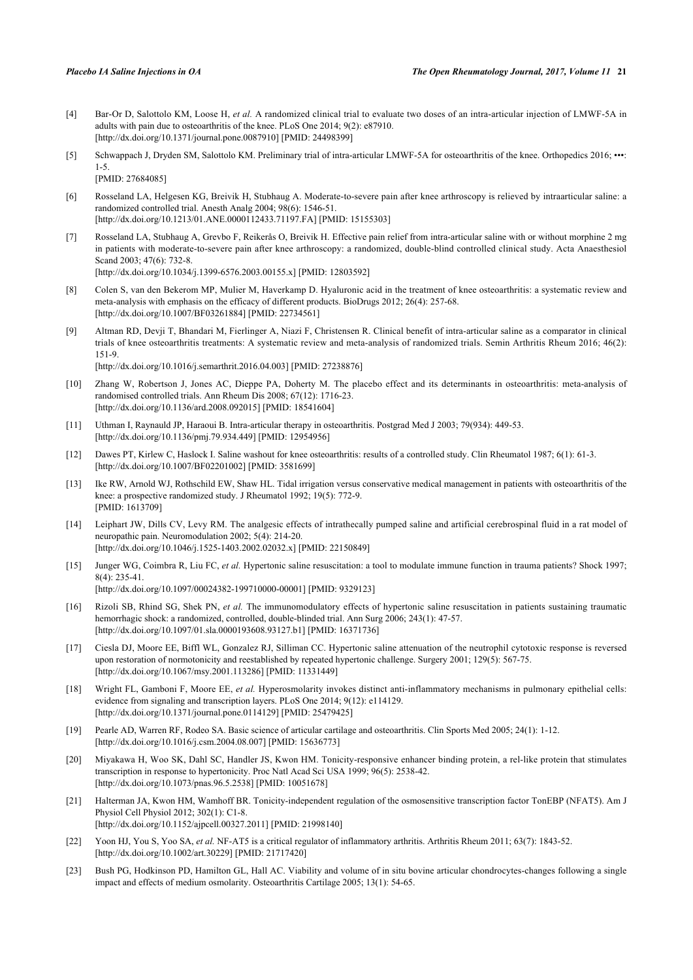- <span id="page-5-0"></span>[4] Bar-Or D, Salottolo KM, Loose H, *et al.* A randomized clinical trial to evaluate two doses of an intra-articular injection of LMWF-5A in adults with pain due to osteoarthritis of the knee. PLoS One 2014; 9(2): e87910. [\[http://dx.doi.org/10.1371/journal.pone.0087910](http://dx.doi.org/10.1371/journal.pone.0087910)] [PMID: [24498399\]](http://www.ncbi.nlm.nih.gov/pubmed/24498399)
- <span id="page-5-1"></span>[5] Schwappach J, Dryden SM, Salottolo KM. Preliminary trial of intra-articular LMWF-5A for osteoarthritis of the knee. Orthopedics 2016; •••: 1-5.

[PMID: [27684085\]](http://www.ncbi.nlm.nih.gov/pubmed/27684085)

- <span id="page-5-2"></span>[6] Rosseland LA, Helgesen KG, Breivik H, Stubhaug A. Moderate-to-severe pain after knee arthroscopy is relieved by intraarticular saline: a randomized controlled trial. Anesth Analg 2004; 98(6): 1546-51. [\[http://dx.doi.org/10.1213/01.ANE.0000112433.71197.FA](http://dx.doi.org/10.1213/01.ANE.0000112433.71197.FA)] [PMID: [15155303](http://www.ncbi.nlm.nih.gov/pubmed/15155303)]
- <span id="page-5-3"></span>[7] Rosseland LA, Stubhaug A, Grevbo F, Reikerås O, Breivik H. Effective pain relief from intra-articular saline with or without morphine 2 mg in patients with moderate-to-severe pain after knee arthroscopy: a randomized, double-blind controlled clinical study. Acta Anaesthesiol Scand 2003; 47(6): 732-8. [\[http://dx.doi.org/10.1034/j.1399-6576.2003.00155.x\]](http://dx.doi.org/10.1034/j.1399-6576.2003.00155.x) [PMID: [12803592](http://www.ncbi.nlm.nih.gov/pubmed/12803592)]
- <span id="page-5-4"></span>[8] Colen S, van den Bekerom MP, Mulier M, Haverkamp D. Hyaluronic acid in the treatment of knee osteoarthritis: a systematic review and meta-analysis with emphasis on the efficacy of different products. BioDrugs 2012; 26(4): 257-68. [\[http://dx.doi.org/10.1007/BF03261884\]](http://dx.doi.org/10.1007/BF03261884) [PMID: [22734561](http://www.ncbi.nlm.nih.gov/pubmed/22734561)]
- <span id="page-5-5"></span>[9] Altman RD, Devji T, Bhandari M, Fierlinger A, Niazi F, Christensen R. Clinical benefit of intra-articular saline as a comparator in clinical trials of knee osteoarthritis treatments: A systematic review and meta-analysis of randomized trials. Semin Arthritis Rheum 2016; 46(2): 151-9. [\[http://dx.doi.org/10.1016/j.semarthrit.2016.04.003](http://dx.doi.org/10.1016/j.semarthrit.2016.04.003)] [PMID: [27238876](http://www.ncbi.nlm.nih.gov/pubmed/27238876)]
- <span id="page-5-6"></span>[10] Zhang W, Robertson J, Jones AC, Dieppe PA, Doherty M. The placebo effect and its determinants in osteoarthritis: meta-analysis of randomised controlled trials. Ann Rheum Dis 2008; 67(12): 1716-23. [\[http://dx.doi.org/10.1136/ard.2008.092015](http://dx.doi.org/10.1136/ard.2008.092015)] [PMID: [18541604\]](http://www.ncbi.nlm.nih.gov/pubmed/18541604)
- <span id="page-5-7"></span>[11] Uthman I, Raynauld JP, Haraoui B. Intra-articular therapy in osteoarthritis. Postgrad Med J 2003; 79(934): 449-53. [\[http://dx.doi.org/10.1136/pmj.79.934.449](http://dx.doi.org/10.1136/pmj.79.934.449)] [PMID: [12954956\]](http://www.ncbi.nlm.nih.gov/pubmed/12954956)
- <span id="page-5-8"></span>[12] Dawes PT, Kirlew C, Haslock I. Saline washout for knee osteoarthritis: results of a controlled study. Clin Rheumatol 1987; 6(1): 61-3. [\[http://dx.doi.org/10.1007/BF02201002\]](http://dx.doi.org/10.1007/BF02201002) [PMID: [3581699](http://www.ncbi.nlm.nih.gov/pubmed/3581699)]
- <span id="page-5-9"></span>[13] Ike RW, Arnold WJ, Rothschild EW, Shaw HL. Tidal irrigation versus conservative medical management in patients with osteoarthritis of the knee: a prospective randomized study. J Rheumatol 1992; 19(5): 772-9. [PMID: [1613709\]](http://www.ncbi.nlm.nih.gov/pubmed/1613709)
- <span id="page-5-10"></span>[14] Leiphart JW, Dills CV, Levy RM. The analgesic effects of intrathecally pumped saline and artificial cerebrospinal fluid in a rat model of neuropathic pain. Neuromodulation 2002; 5(4): 214-20. [\[http://dx.doi.org/10.1046/j.1525-1403.2002.02032.x\]](http://dx.doi.org/10.1046/j.1525-1403.2002.02032.x) [PMID: [22150849](http://www.ncbi.nlm.nih.gov/pubmed/22150849)]
- <span id="page-5-11"></span>[15] Junger WG, Coimbra R, Liu FC, *et al.* Hypertonic saline resuscitation: a tool to modulate immune function in trauma patients? Shock 1997; 8(4): 235-41. [\[http://dx.doi.org/10.1097/00024382-199710000-00001](http://dx.doi.org/10.1097/00024382-199710000-00001)] [PMID: [9329123\]](http://www.ncbi.nlm.nih.gov/pubmed/9329123)
- <span id="page-5-12"></span>[16] Rizoli SB, Rhind SG, Shek PN, *et al.* The immunomodulatory effects of hypertonic saline resuscitation in patients sustaining traumatic hemorrhagic shock: a randomized, controlled, double-blinded trial. Ann Surg 2006; 243(1): 47-57. [\[http://dx.doi.org/10.1097/01.sla.0000193608.93127.b1\]](http://dx.doi.org/10.1097/01.sla.0000193608.93127.b1) [PMID: [16371736](http://www.ncbi.nlm.nih.gov/pubmed/16371736)]
- <span id="page-5-13"></span>[17] Ciesla DJ, Moore EE, Biffl WL, Gonzalez RJ, Silliman CC. Hypertonic saline attenuation of the neutrophil cytotoxic response is reversed upon restoration of normotonicity and reestablished by repeated hypertonic challenge. Surgery 2001; 129(5): 567-75. [\[http://dx.doi.org/10.1067/msy.2001.113286](http://dx.doi.org/10.1067/msy.2001.113286)] [PMID: [11331449\]](http://www.ncbi.nlm.nih.gov/pubmed/11331449)
- <span id="page-5-14"></span>[18] Wright FL, Gamboni F, Moore EE, *et al.* Hyperosmolarity invokes distinct anti-inflammatory mechanisms in pulmonary epithelial cells: evidence from signaling and transcription layers. PLoS One 2014; 9(12): e114129. [\[http://dx.doi.org/10.1371/journal.pone.0114129](http://dx.doi.org/10.1371/journal.pone.0114129)] [PMID: [25479425\]](http://www.ncbi.nlm.nih.gov/pubmed/25479425)
- <span id="page-5-15"></span>[19] Pearle AD, Warren RF, Rodeo SA. Basic science of articular cartilage and osteoarthritis. Clin Sports Med 2005; 24(1): 1-12. [\[http://dx.doi.org/10.1016/j.csm.2004.08.007\]](http://dx.doi.org/10.1016/j.csm.2004.08.007) [PMID: [15636773](http://www.ncbi.nlm.nih.gov/pubmed/15636773)]
- <span id="page-5-16"></span>[20] Miyakawa H, Woo SK, Dahl SC, Handler JS, Kwon HM. Tonicity-responsive enhancer binding protein, a rel-like protein that stimulates transcription in response to hypertonicity. Proc Natl Acad Sci USA 1999; 96(5): 2538-42. [\[http://dx.doi.org/10.1073/pnas.96.5.2538](http://dx.doi.org/10.1073/pnas.96.5.2538)] [PMID: [10051678](http://www.ncbi.nlm.nih.gov/pubmed/10051678)]
- <span id="page-5-17"></span>[21] Halterman JA, Kwon HM, Wamhoff BR. Tonicity-independent regulation of the osmosensitive transcription factor TonEBP (NFAT5). Am J Physiol Cell Physiol 2012; 302(1): C1-8. [\[http://dx.doi.org/10.1152/ajpcell.00327.2011](http://dx.doi.org/10.1152/ajpcell.00327.2011)] [PMID: [21998140\]](http://www.ncbi.nlm.nih.gov/pubmed/21998140)
- <span id="page-5-18"></span>[22] Yoon HJ, You S, Yoo SA, *et al.* NF-AT5 is a critical regulator of inflammatory arthritis. Arthritis Rheum 2011; 63(7): 1843-52. [\[http://dx.doi.org/10.1002/art.30229](http://dx.doi.org/10.1002/art.30229)] [PMID: [21717420\]](http://www.ncbi.nlm.nih.gov/pubmed/21717420)
- <span id="page-5-19"></span>[23] Bush PG, Hodkinson PD, Hamilton GL, Hall AC. Viability and volume of in situ bovine articular chondrocytes-changes following a single impact and effects of medium osmolarity. Osteoarthritis Cartilage 2005; 13(1): 54-65.